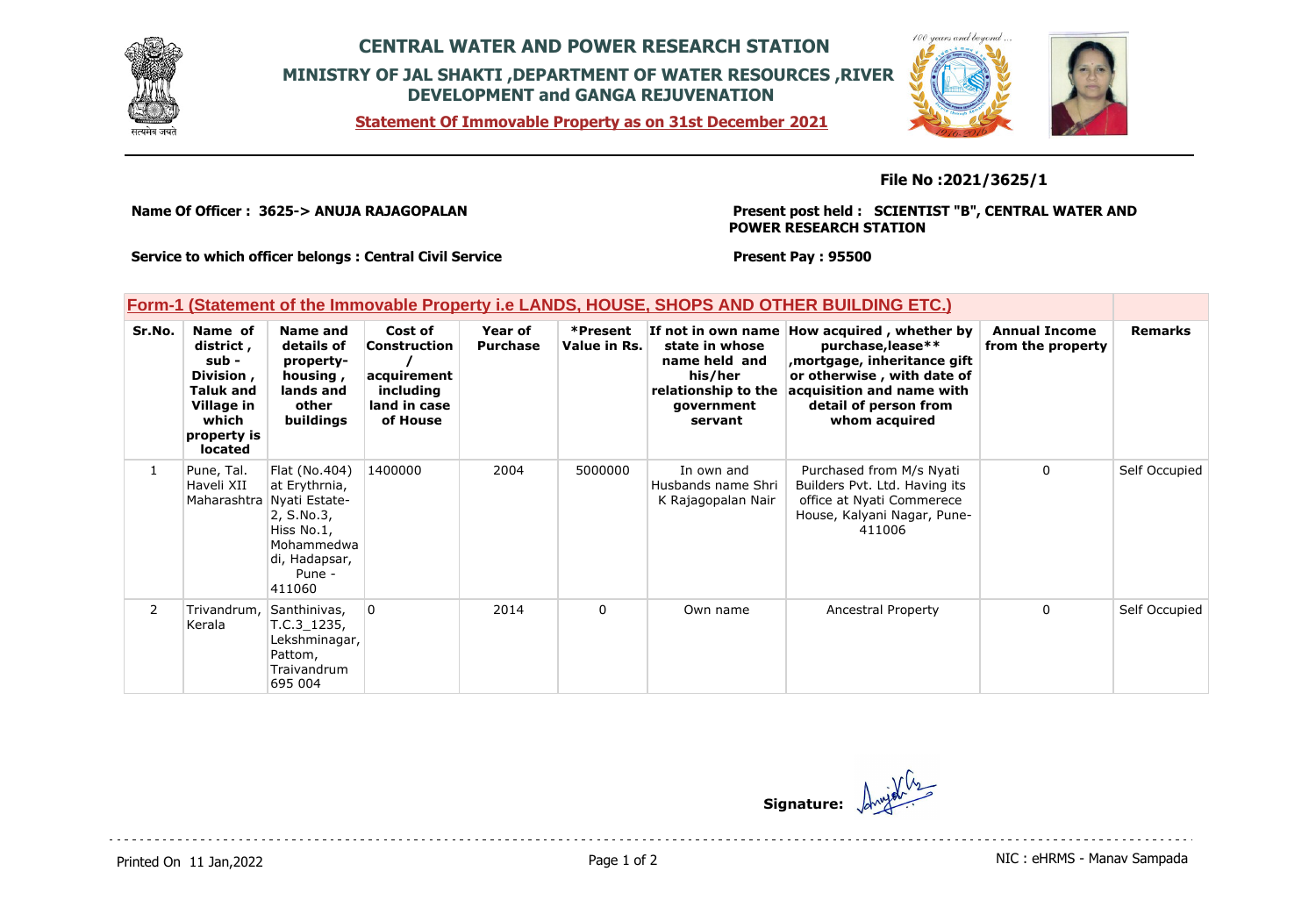

## **CENTRAL WATER AND POWER RESEARCH STATION MINISTRY OF JAL SHAKTI ,DEPARTMENT OF WATER RESOURCES ,RIVER DEVELOPMENT and GANGA REJUVENATION**





**File No :2021/3625/1**

**Name Of Officer : 3625-> ANUJA RAJAGOPALAN** 

**Present post held : SCIENTIST "B", CENTRAL WATER AND POWER RESEARCH STATION**

**Service to which officer belongs : Central Civil Service**

**Present Pay : 95500**

## **Form-1 (Statement of the Immovable Property i.e LANDS, HOUSE, SHOPS AND OTHER BUILDING ETC.)**

| Sr.No.         | Name of<br>district,<br>sub -<br>Division,<br><b>Taluk and</b><br>Village in<br>which<br>property is<br><b>located</b> | Name and<br>details of<br>property-<br>housing,<br>lands and<br>other<br>buildings                                                         | Cost of<br>Construction<br>acquirement<br>including<br>land in case<br>of House | Year of<br><b>Purchase</b> | *Present<br>Value in Rs. | If not in own name<br>state in whose<br>name held and<br>his/her<br>relationship to the<br>government<br>servant | How acquired, whether by<br>purchase, lease**<br>mortgage, inheritance gift,<br>or otherwise, with date of<br>acquisition and name with<br>detail of person from<br>whom acquired | <b>Annual Income</b><br>from the property | <b>Remarks</b> |
|----------------|------------------------------------------------------------------------------------------------------------------------|--------------------------------------------------------------------------------------------------------------------------------------------|---------------------------------------------------------------------------------|----------------------------|--------------------------|------------------------------------------------------------------------------------------------------------------|-----------------------------------------------------------------------------------------------------------------------------------------------------------------------------------|-------------------------------------------|----------------|
| $\mathbf{1}$   | Pune, Tal.<br>Haveli XII                                                                                               | Flat (No.404)<br>at Erythrnia,<br>Maharashtra Nyati Estate-<br>2, S.No.3,<br>Hiss No.1,<br>Mohammedwa<br>di, Hadapsar,<br>Pune -<br>411060 | 1400000                                                                         | 2004                       | 5000000                  | In own and<br>Husbands name Shri<br>K Rajagopalan Nair                                                           | Purchased from M/s Nyati<br>Builders Pvt. Ltd. Having its<br>office at Nyati Commerece<br>House, Kalyani Nagar, Pune-<br>411006                                                   | $\mathbf{0}$                              | Self Occupied  |
| $\overline{2}$ | Trivandrum,<br>Kerala                                                                                                  | Santhinivas,<br>T.C.3 1235,<br>Lekshminagar,<br>Pattom,<br>Traivandrum<br>695 004                                                          | $\overline{0}$                                                                  | 2014                       | $\Omega$                 | Own name                                                                                                         | <b>Ancestral Property</b>                                                                                                                                                         | $\mathbf{0}$                              | Self Occupied  |